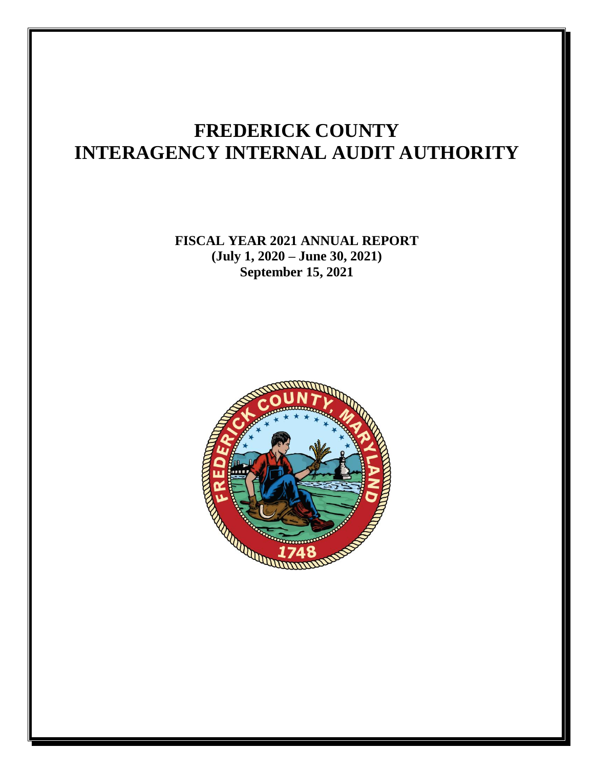### **FREDERICK COUNTY INTERAGENCY INTERNAL AUDIT AUTHORITY**

**FISCAL YEAR 2021 ANNUAL REPORT (July 1, 2020 – June 30, 2021) September 15, 2021**

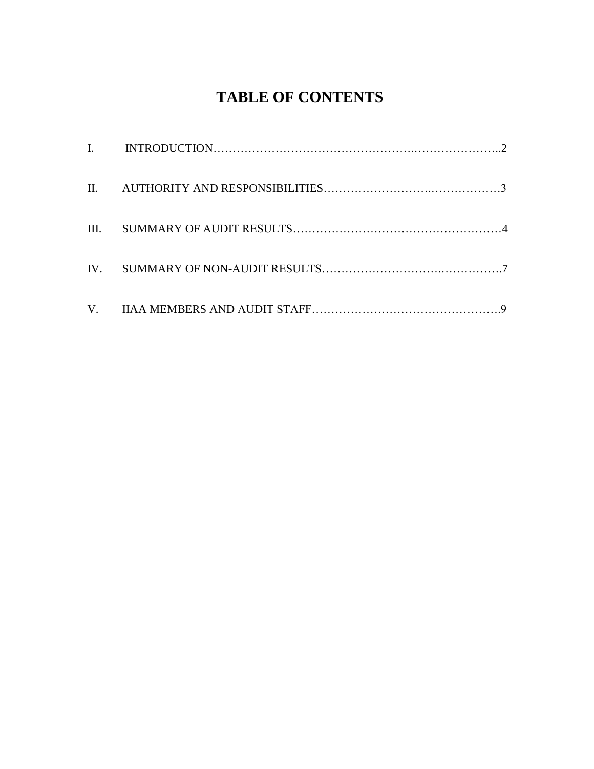### **TABLE OF CONTENTS**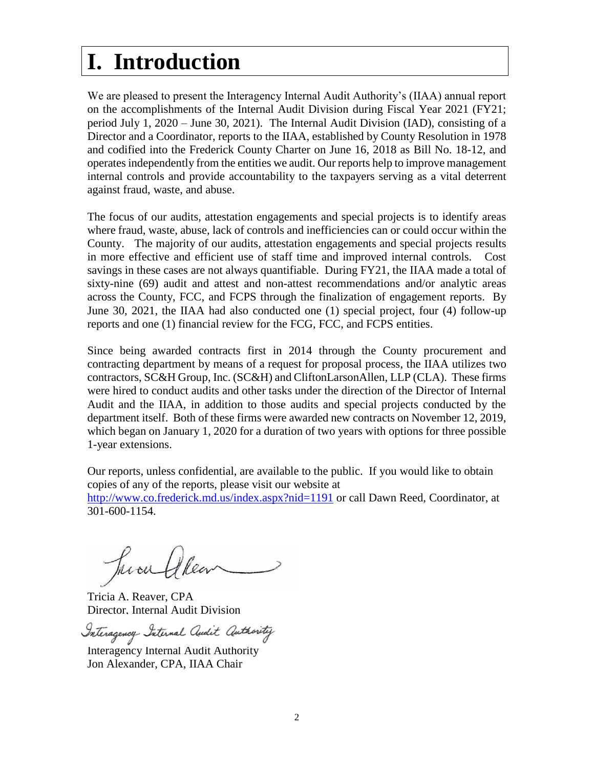### **I. Introduction**

We are pleased to present the Interagency Internal Audit Authority's (IIAA) annual report on the accomplishments of the Internal Audit Division during Fiscal Year 2021 (FY21; period July 1, 2020 – June 30, 2021). The Internal Audit Division (IAD), consisting of a Director and a Coordinator, reports to the IIAA, established by County Resolution in 1978 and codified into the Frederick County Charter on June 16, 2018 as Bill No. 18-12, and operates independently from the entities we audit. Our reports help to improve management internal controls and provide accountability to the taxpayers serving as a vital deterrent against fraud, waste, and abuse.

The focus of our audits, attestation engagements and special projects is to identify areas where fraud, waste, abuse, lack of controls and inefficiencies can or could occur within the County. The majority of our audits, attestation engagements and special projects results in more effective and efficient use of staff time and improved internal controls. Cost savings in these cases are not always quantifiable. During FY21, the IIAA made a total of sixty-nine (69) audit and attest and non-attest recommendations and/or analytic areas across the County, FCC, and FCPS through the finalization of engagement reports. By June 30, 2021, the IIAA had also conducted one (1) special project, four (4) follow-up reports and one (1) financial review for the FCG, FCC, and FCPS entities.

Since being awarded contracts first in 2014 through the County procurement and contracting department by means of a request for proposal process, the IIAA utilizes two contractors, SC&H Group, Inc. (SC&H) and CliftonLarsonAllen, LLP (CLA). These firms were hired to conduct audits and other tasks under the direction of the Director of Internal Audit and the IIAA, in addition to those audits and special projects conducted by the department itself. Both of these firms were awarded new contracts on November 12, 2019, which began on January 1, 2020 for a duration of two years with options for three possible 1-year extensions.

Our reports, unless confidential, are available to the public. If you would like to obtain copies of any of the reports, please visit our website at <http://www.co.frederick.md.us/index.aspx?nid=1191> or call Dawn Reed, Coordinator, at 301-600-1154.

Tricia A. Reaver, CPA Director, Internal Audit Division

Interagency- Internal Audit Authority

Interagency Internal Audit Authority Jon Alexander, CPA, IIAA Chair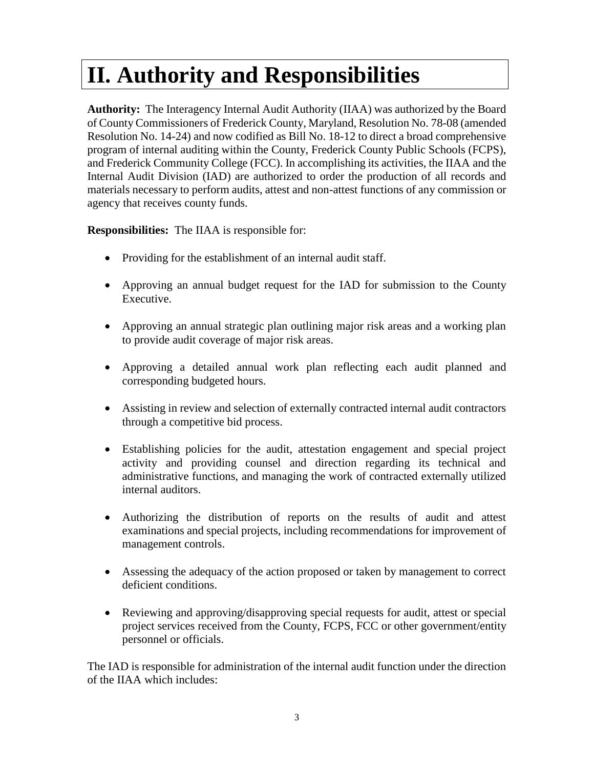# **II. Authority and Responsibilities**

**Authority:** The Interagency Internal Audit Authority (IIAA) was authorized by the Board of County Commissioners of Frederick County, Maryland, Resolution No. 78-08 (amended Resolution No. 14-24) and now codified as Bill No. 18-12 to direct a broad comprehensive program of internal auditing within the County, Frederick County Public Schools (FCPS), and Frederick Community College (FCC). In accomplishing its activities, the IIAA and the Internal Audit Division (IAD) are authorized to order the production of all records and materials necessary to perform audits, attest and non-attest functions of any commission or agency that receives county funds.

**Responsibilities:** The IIAA is responsible for:

- Providing for the establishment of an internal audit staff.
- Approving an annual budget request for the IAD for submission to the County Executive.
- Approving an annual strategic plan outlining major risk areas and a working plan to provide audit coverage of major risk areas.
- Approving a detailed annual work plan reflecting each audit planned and corresponding budgeted hours.
- Assisting in review and selection of externally contracted internal audit contractors through a competitive bid process.
- Establishing policies for the audit, attestation engagement and special project activity and providing counsel and direction regarding its technical and administrative functions, and managing the work of contracted externally utilized internal auditors.
- Authorizing the distribution of reports on the results of audit and attest examinations and special projects, including recommendations for improvement of management controls.
- Assessing the adequacy of the action proposed or taken by management to correct deficient conditions.
- Reviewing and approving/disapproving special requests for audit, attest or special project services received from the County, FCPS, FCC or other government/entity personnel or officials.

The IAD is responsible for administration of the internal audit function under the direction of the IIAA which includes: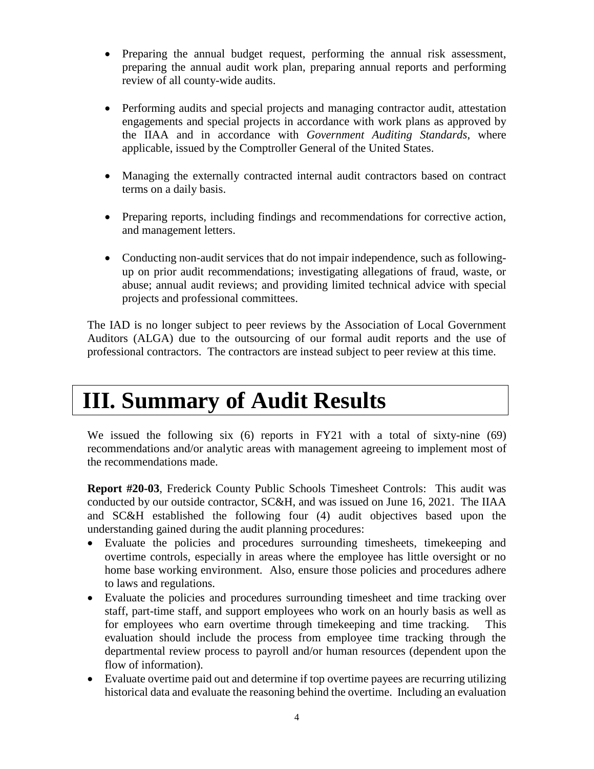- Preparing the annual budget request, performing the annual risk assessment, preparing the annual audit work plan, preparing annual reports and performing review of all county-wide audits.
- Performing audits and special projects and managing contractor audit, attestation engagements and special projects in accordance with work plans as approved by the IIAA and in accordance with *Government Auditing Standards*, where applicable, issued by the Comptroller General of the United States.
- Managing the externally contracted internal audit contractors based on contract terms on a daily basis.
- Preparing reports, including findings and recommendations for corrective action, and management letters.
- Conducting non-audit services that do not impair independence, such as followingup on prior audit recommendations; investigating allegations of fraud, waste, or abuse; annual audit reviews; and providing limited technical advice with special projects and professional committees.

The IAD is no longer subject to peer reviews by the Association of Local Government Auditors (ALGA) due to the outsourcing of our formal audit reports and the use of professional contractors. The contractors are instead subject to peer review at this time.

### **III. Summary of Audit Results**

We issued the following six (6) reports in FY21 with a total of sixty-nine (69) recommendations and/or analytic areas with management agreeing to implement most of the recommendations made.

**Report #20-03**, Frederick County Public Schools Timesheet Controls: This audit was conducted by our outside contractor, SC&H, and was issued on June 16, 2021. The IIAA and SC&H established the following four (4) audit objectives based upon the understanding gained during the audit planning procedures:

- Evaluate the policies and procedures surrounding timesheets, timekeeping and overtime controls, especially in areas where the employee has little oversight or no home base working environment. Also, ensure those policies and procedures adhere to laws and regulations.
- Evaluate the policies and procedures surrounding timesheet and time tracking over staff, part-time staff, and support employees who work on an hourly basis as well as for employees who earn overtime through timekeeping and time tracking. This evaluation should include the process from employee time tracking through the departmental review process to payroll and/or human resources (dependent upon the flow of information).
- Evaluate overtime paid out and determine if top overtime payees are recurring utilizing historical data and evaluate the reasoning behind the overtime. Including an evaluation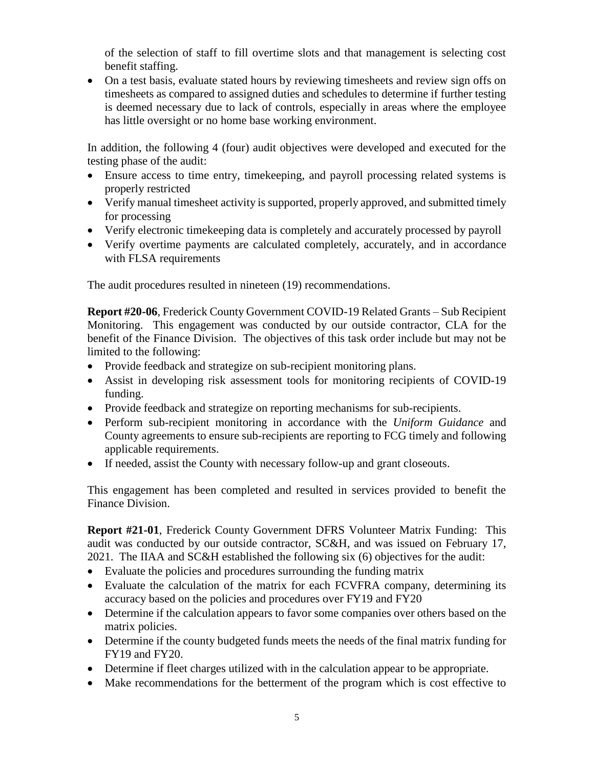of the selection of staff to fill overtime slots and that management is selecting cost benefit staffing.

• On a test basis, evaluate stated hours by reviewing timesheets and review sign offs on timesheets as compared to assigned duties and schedules to determine if further testing is deemed necessary due to lack of controls, especially in areas where the employee has little oversight or no home base working environment.

In addition, the following 4 (four) audit objectives were developed and executed for the testing phase of the audit:

- Ensure access to time entry, timekeeping, and payroll processing related systems is properly restricted
- Verify manual timesheet activity is supported, properly approved, and submitted timely for processing
- Verify electronic timekeeping data is completely and accurately processed by payroll
- Verify overtime payments are calculated completely, accurately, and in accordance with FLSA requirements

The audit procedures resulted in nineteen (19) recommendations.

**Report #20-06**, Frederick County Government COVID-19 Related Grants – Sub Recipient Monitoring. This engagement was conducted by our outside contractor, CLA for the benefit of the Finance Division. The objectives of this task order include but may not be limited to the following:

- Provide feedback and strategize on sub-recipient monitoring plans.
- Assist in developing risk assessment tools for monitoring recipients of COVID-19 funding.
- Provide feedback and strategize on reporting mechanisms for sub-recipients.
- Perform sub-recipient monitoring in accordance with the *Uniform Guidance* and County agreements to ensure sub-recipients are reporting to FCG timely and following applicable requirements.
- If needed, assist the County with necessary follow-up and grant closeouts.

This engagement has been completed and resulted in services provided to benefit the Finance Division.

**Report #21-01**, Frederick County Government DFRS Volunteer Matrix Funding: This audit was conducted by our outside contractor, SC&H, and was issued on February 17, 2021. The IIAA and SC&H established the following six (6) objectives for the audit:

- Evaluate the policies and procedures surrounding the funding matrix
- Evaluate the calculation of the matrix for each FCVFRA company, determining its accuracy based on the policies and procedures over FY19 and FY20
- Determine if the calculation appears to favor some companies over others based on the matrix policies.
- Determine if the county budgeted funds meets the needs of the final matrix funding for FY19 and FY20.
- Determine if fleet charges utilized with in the calculation appear to be appropriate.
- Make recommendations for the betterment of the program which is cost effective to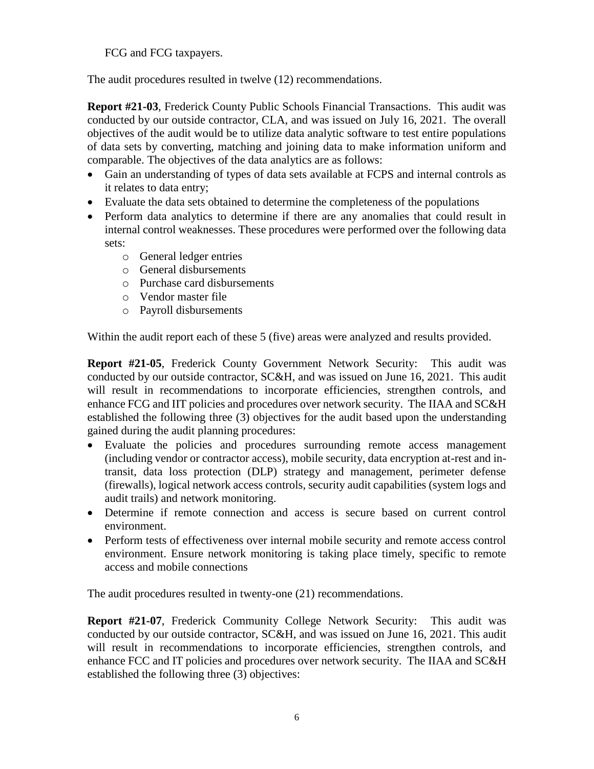FCG and FCG taxpayers.

The audit procedures resulted in twelve (12) recommendations.

**Report #21-03**, Frederick County Public Schools Financial Transactions. This audit was conducted by our outside contractor, CLA, and was issued on July 16, 2021. The overall objectives of the audit would be to utilize data analytic software to test entire populations of data sets by converting, matching and joining data to make information uniform and comparable. The objectives of the data analytics are as follows:

- Gain an understanding of types of data sets available at FCPS and internal controls as it relates to data entry;
- Evaluate the data sets obtained to determine the completeness of the populations
- Perform data analytics to determine if there are any anomalies that could result in internal control weaknesses. These procedures were performed over the following data sets:
	- o General ledger entries
	- o General disbursements
	- o Purchase card disbursements
	- o Vendor master file
	- o Payroll disbursements

Within the audit report each of these 5 (five) areas were analyzed and results provided.

**Report #21-05**, Frederick County Government Network Security: This audit was conducted by our outside contractor, SC&H, and was issued on June 16, 2021. This audit will result in recommendations to incorporate efficiencies, strengthen controls, and enhance FCG and IIT policies and procedures over network security. The IIAA and SC&H established the following three (3) objectives for the audit based upon the understanding gained during the audit planning procedures:

- Evaluate the policies and procedures surrounding remote access management (including vendor or contractor access), mobile security, data encryption at-rest and intransit, data loss protection (DLP) strategy and management, perimeter defense (firewalls), logical network access controls, security audit capabilities (system logs and audit trails) and network monitoring.
- Determine if remote connection and access is secure based on current control environment.
- Perform tests of effectiveness over internal mobile security and remote access control environment. Ensure network monitoring is taking place timely, specific to remote access and mobile connections

The audit procedures resulted in twenty-one (21) recommendations.

**Report #21-07**, Frederick Community College Network Security: This audit was conducted by our outside contractor, SC&H, and was issued on June 16, 2021. This audit will result in recommendations to incorporate efficiencies, strengthen controls, and enhance FCC and IT policies and procedures over network security. The IIAA and SC&H established the following three (3) objectives: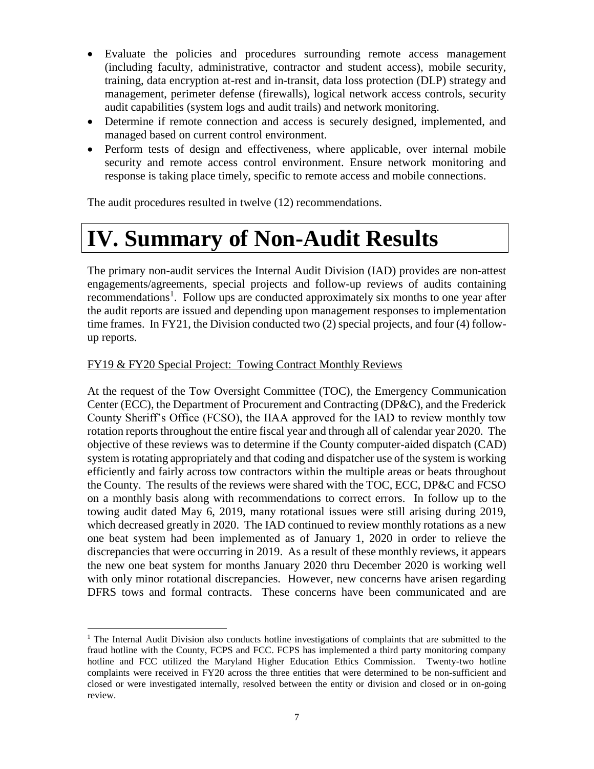- Evaluate the policies and procedures surrounding remote access management (including faculty, administrative, contractor and student access), mobile security, training, data encryption at-rest and in-transit, data loss protection (DLP) strategy and management, perimeter defense (firewalls), logical network access controls, security audit capabilities (system logs and audit trails) and network monitoring.
- Determine if remote connection and access is securely designed, implemented, and managed based on current control environment.
- Perform tests of design and effectiveness, where applicable, over internal mobile security and remote access control environment. Ensure network monitoring and response is taking place timely, specific to remote access and mobile connections.

The audit procedures resulted in twelve (12) recommendations.

## **IV. Summary of Non-Audit Results**

The primary non-audit services the Internal Audit Division (IAD) provides are non-attest engagements/agreements, special projects and follow-up reviews of audits containing recommendations<sup>1</sup>. Follow ups are conducted approximately six months to one year after the audit reports are issued and depending upon management responses to implementation time frames. In FY21, the Division conducted two (2) special projects, and four (4) followup reports.

#### FY19 & FY20 Special Project: Towing Contract Monthly Reviews

At the request of the Tow Oversight Committee (TOC), the Emergency Communication Center (ECC), the Department of Procurement and Contracting (DP&C), and the Frederick County Sheriff's Office (FCSO), the IIAA approved for the IAD to review monthly tow rotation reports throughout the entire fiscal year and through all of calendar year 2020. The objective of these reviews was to determine if the County computer-aided dispatch (CAD) system is rotating appropriately and that coding and dispatcher use of the system is working efficiently and fairly across tow contractors within the multiple areas or beats throughout the County. The results of the reviews were shared with the TOC, ECC, DP&C and FCSO on a monthly basis along with recommendations to correct errors. In follow up to the towing audit dated May 6, 2019, many rotational issues were still arising during 2019, which decreased greatly in 2020. The IAD continued to review monthly rotations as a new one beat system had been implemented as of January 1, 2020 in order to relieve the discrepancies that were occurring in 2019. As a result of these monthly reviews, it appears the new one beat system for months January 2020 thru December 2020 is working well with only minor rotational discrepancies. However, new concerns have arisen regarding DFRS tows and formal contracts. These concerns have been communicated and are

 $\overline{a}$ <sup>1</sup> The Internal Audit Division also conducts hotline investigations of complaints that are submitted to the fraud hotline with the County, FCPS and FCC. FCPS has implemented a third party monitoring company hotline and FCC utilized the Maryland Higher Education Ethics Commission. Twenty-two hotline complaints were received in FY20 across the three entities that were determined to be non-sufficient and closed or were investigated internally, resolved between the entity or division and closed or in on-going review.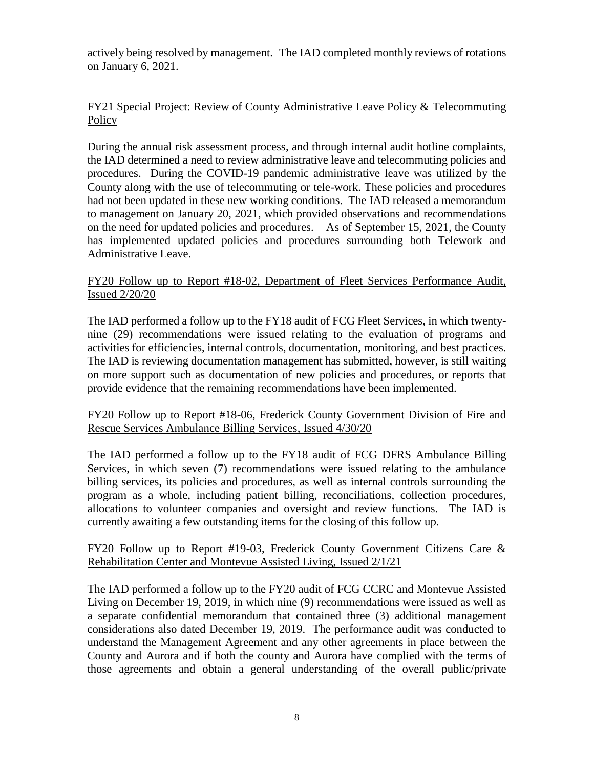actively being resolved by management. The IAD completed monthly reviews of rotations on January 6, 2021.

#### FY21 Special Project: Review of County Administrative Leave Policy & Telecommuting Policy

During the annual risk assessment process, and through internal audit hotline complaints, the IAD determined a need to review administrative leave and telecommuting policies and procedures. During the COVID-19 pandemic administrative leave was utilized by the County along with the use of telecommuting or tele-work. These policies and procedures had not been updated in these new working conditions. The IAD released a memorandum to management on January 20, 2021, which provided observations and recommendations on the need for updated policies and procedures. As of September 15, 2021, the County has implemented updated policies and procedures surrounding both Telework and Administrative Leave.

#### FY20 Follow up to Report #18-02, Department of Fleet Services Performance Audit, Issued 2/20/20

The IAD performed a follow up to the FY18 audit of FCG Fleet Services, in which twentynine (29) recommendations were issued relating to the evaluation of programs and activities for efficiencies, internal controls, documentation, monitoring, and best practices. The IAD is reviewing documentation management has submitted, however, is still waiting on more support such as documentation of new policies and procedures, or reports that provide evidence that the remaining recommendations have been implemented.

#### FY20 Follow up to Report #18-06, Frederick County Government Division of Fire and Rescue Services Ambulance Billing Services, Issued 4/30/20

The IAD performed a follow up to the FY18 audit of FCG DFRS Ambulance Billing Services, in which seven (7) recommendations were issued relating to the ambulance billing services, its policies and procedures, as well as internal controls surrounding the program as a whole, including patient billing, reconciliations, collection procedures, allocations to volunteer companies and oversight and review functions. The IAD is currently awaiting a few outstanding items for the closing of this follow up.

#### FY20 Follow up to Report #19-03, Frederick County Government Citizens Care  $\&$ Rehabilitation Center and Montevue Assisted Living, Issued 2/1/21

The IAD performed a follow up to the FY20 audit of FCG CCRC and Montevue Assisted Living on December 19, 2019, in which nine (9) recommendations were issued as well as a separate confidential memorandum that contained three (3) additional management considerations also dated December 19, 2019. The performance audit was conducted to understand the Management Agreement and any other agreements in place between the County and Aurora and if both the county and Aurora have complied with the terms of those agreements and obtain a general understanding of the overall public/private